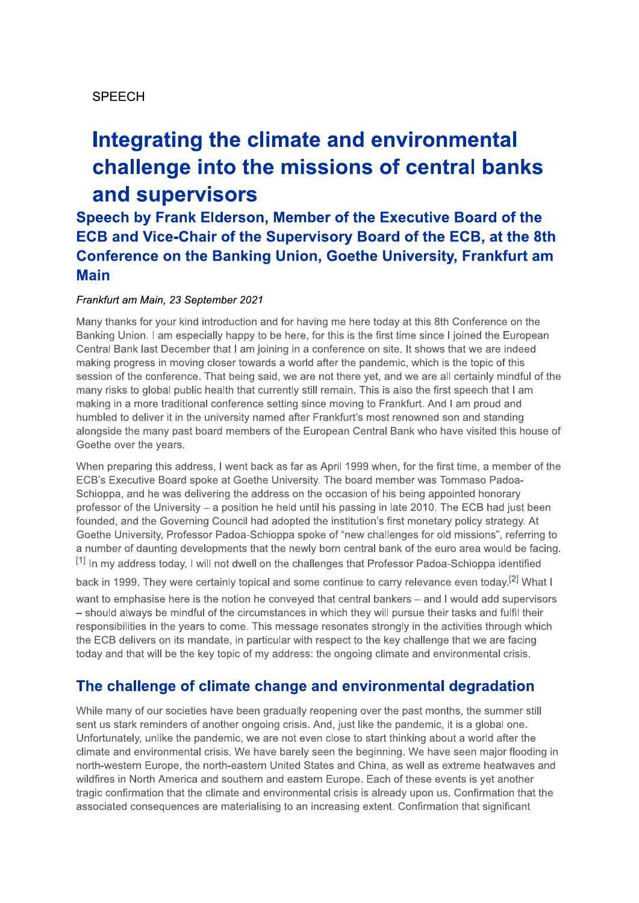### SPEECH

# integrating the climate and environmental challenge into the missions of central banks and supervisors

Speech by Frank Elderson, Member of the Executive Board of the<br>ECB and Vice-Chair of the Supervisory Board of the ECB, at the 8th Conference on the Banking Union, Goethe University, Frankfurt am **Main** 

#### Frankfurt am Main, 23 September 2021

SPEECH<br> **Integrating the climate and environmental**<br> **challenge into the missions of central banks**<br> **and supervisors**<br>
Speech by Frank Elderson, Member of the Executive Board of the<br>
ECB and Vice-Chair of the Supervisory Many thanks for your kind introduction and for having me here today at this 8th Conference on the Banking Union. I am especially happy to be here, for this is the first time since I joined the European Central Bank last December that I am joining in a conference on site. It shows that we are indeed making progress in moving closer towards a world after the pandemic, which is the topic of this session of the conference. That being said, we are not there yet, and we are all certainly mindful of the many risks to global public health that currently still remain. This is also the first speech that I am making in a more traditional conference setting since moving to Frankfurt. And I am proud and humbled to deliver it in the university named after Frankfurt's most renowned son and standing alongside the many past board members of the European Central Bank who have visited this house of Goethe over the years.

When preparing this address. I went back as far as April 1999 when, for the first time, a member of the ECB's Executive Board spoke at Goethe University. The board member was Tommaso Padoa-Schioppa, and he was delivering the address on the occasion of his being appointed honorary professor of the University  $-$  a position he held until his passing in late 2010. The ECB had just been founded, and the Governing Council had adopted the institution's first monetary policy strategy. At Goethe University, Professor Padoa-Schloppa spoke of "hew challenges for old missions", referring to a number of daunting developments that the newly born central bank of the euro area would be facing.  $^{\left[1\right]}$  In my address today, I will not dwell on the challenges that Professor Padoa-Schioppa identified

back in 1999. They were certainly topical and some continue to carry relevance even today.<sup>[2]</sup> What I want to emphasise here is the notion he conveved that central bankers – and I would add supervisors - should always be mindful of the circumstances in which they will pursue their tasks and fulfil their responsibilities in the years to come. This message resonates strongly in the activities through which the ECB delivers on its mandate, in particular with respect to the key challenge that we are facing today and that will be the key topic of my address: the ongoing climate and environmental crisis.

# The challenge of climate change and environmental degradation

While many of our societies have been gradually reopening over the past months, the summer still sent us stark reminders of another ongoing crisis. And, just like the pandemic, it is a global one. Unfortunately, unlike the pandemic, we are not even close to start thinking about a world after the climate and environmental crisis. We have barely seen the beginning. We have seen major flooding in north-western Europe, the north-eastern United States and China, as well as extreme heatwaves and wildfires in North America and southern and eastern Europe. Each of these events is yet another tragic confirmation that the climate and environmental crisis is already upon us. Confirmation that the associated consequences are materialising to an increasing extent. Confirmation that significant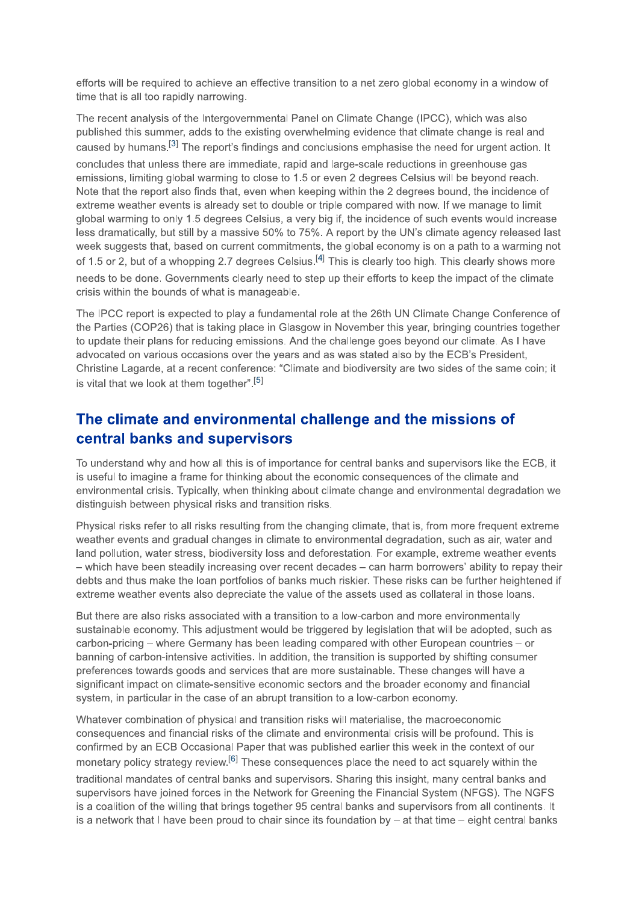efforts will be required to achieve an effective transition to a net zero global economy in a window of time that is all too rapidly narrowing.

The recent analysis of the Intergovernmental Panel on Climate Change (IPCC), which was also published this summer, adds to the existing overwhelming evidence that climate change is real and caused by humans.<sup>[3]</sup> The report's findings and conclusions emphasise the need for urgent action. It concludes that unless there are immediate, rapid and large-scale reductions in greenhouse gas emissions, limiting global warming to close to 1.5 or even 2 degrees Celsius will be beyond reach. Note that the report also finds that, even when keeping within the 2 degrees bound, the incidence of extreme weather events is already set to double or triple compared with now. If we manage to limit global warming to only 1.5 degrees Celsius, a very big if, the incidence of such events would increase less dramatically, but still by a massive 50% to 75%. A report by the UN's climate agency released last week suggests that, based on current commitments, the global economy is on a path to a warming not of 1.5 or 2, but of a whopping 2.7 degrees Celsius.<sup>[4]</sup> This is clearly too high. This clearly shows more needs to be done. Governments clearly need to step up their efforts to keep the impact of the climate crisis within the bounds of what is manageable.

The IPCC report is expected to play a fundamental role at the 26th UN Climate Change Conference of the Parties (COP26) that is taking place in Glasgow in November this year, bringing countries together to update their plans for reducing emissions. And the challenge goes beyond our climate. As I have advocated on various occasions over the years and as was stated also by the ECB's President, Christine Lagarde, at a recent conference: "Climate and biodiversity are two sides of the same coin; it is vital that we look at them together".<sup>[5]</sup>

### The climate and environmental challenge and the missions of central banks and supervisors

To understand why and how all this is of importance for central banks and supervisors like the ECB, it is useful to imagine a frame for thinking about the economic consequences of the climate and environmental crisis. Typically, when thinking about climate change and environmental degradation we distinguish between physical risks and transition risks.

Physical risks refer to all risks resulting from the changing climate, that is, from more frequent extreme weather events and gradual changes in climate to environmental degradation, such as air, water and land pollution, water stress, biodiversity loss and deforestation. For example, extreme weather events - which have been steadily increasing over recent decades - can harm borrowers' ability to repay their debts and thus make the loan portfolios of banks much riskier. These risks can be further heightened if extreme weather events also depreciate the value of the assets used as collateral in those loans.

But there are also risks associated with a transition to a low-carbon and more environmentally sustainable economy. This adjustment would be triggered by legislation that will be adopted, such as carbon-pricing – where Germany has been leading compared with other European countries – or banning of carbon-intensive activities. In addition, the transition is supported by shifting consumer preferences towards goods and services that are more sustainable. These changes will have a significant impact on climate-sensitive economic sectors and the broader economy and financial system, in particular in the case of an abrupt transition to a low-carbon economy.

Whatever combination of physical and transition risks will materialise, the macroeconomic consequences and financial risks of the climate and environmental crisis will be profound. This is confirmed by an ECB Occasional Paper that was published earlier this week in the context of our monetary policy strategy review.<sup>[6]</sup> These consequences place the need to act squarely within the traditional mandates of central banks and supervisors. Sharing this insight, many central banks and supervisors have joined forces in the Network for Greening the Financial System (NFGS). The NGFS is a coalition of the willing that brings together 95 central banks and supervisors from all continents. It is a network that I have been proud to chair since its foundation by  $-$  at that time  $-$  eight central banks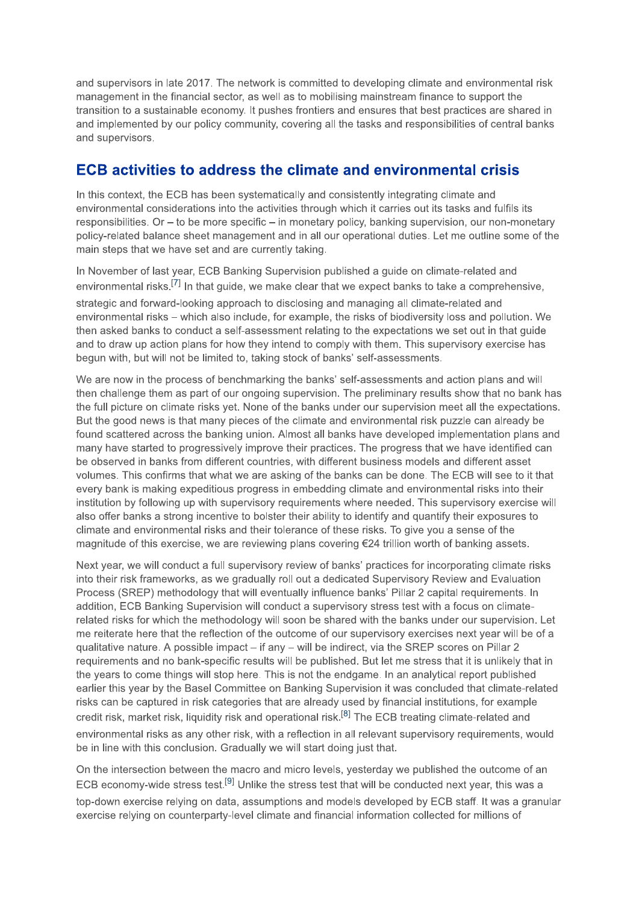and supervisors in late 2017. The network is committed to developing climate and environmental risk management in the financial sector, as well as to mobilising mainstream finance to support the transition to a sustainable economy. It pushes frontiers and ensures that best practices are shared in and implemented by our policy community, covering all the tasks and responsibilities of central banks and supervisors.

#### **ECB activities to address the climate and environmental crisis**

In this context, the ECB has been systematically and consistently integrating climate and environmental considerations into the activities through which it carries out its tasks and fulfils its responsibilities. Or  $-$  to be more specific  $-$  in monetary policy, banking supervision, our non-monetary policy-related balance sheet management and in all our operational duties. Let me outline some of the main steps that we have set and are currently taking.

In November of last year, ECB Banking Supervision published a guide on climate-related and environmental risks.<sup>[7]</sup> In that guide, we make clear that we expect banks to take a comprehensive, strategic and forward-looking approach to disclosing and managing all climate-related and environmental risks - which also include, for example, the risks of biodiversity loss and pollution. We then asked banks to conduct a self-assessment relating to the expectations we set out in that guide and to draw up action plans for how they intend to comply with them. This supervisory exercise has begun with, but will not be limited to, taking stock of banks' self-assessments.

We are now in the process of benchmarking the banks' self-assessments and action plans and will then challenge them as part of our ongoing supervision. The preliminary results show that no bank has the full picture on climate risks yet. None of the banks under our supervision meet all the expectations. But the good news is that many pieces of the climate and environmental risk puzzle can already be found scattered across the banking union. Almost all banks have developed implementation plans and many have started to progressively improve their practices. The progress that we have identified can be observed in banks from different countries, with different business models and different asset volumes. This confirms that what we are asking of the banks can be done. The ECB will see to it that every bank is making expeditious progress in embedding climate and environmental risks into their institution by following up with supervisory requirements where needed. This supervisory exercise will also offer banks a strong incentive to bolster their ability to identify and quantify their exposures to climate and environmental risks and their tolerance of these risks. To give you a sense of the magnitude of this exercise, we are reviewing plans covering €24 trillion worth of banking assets.

Next year, we will conduct a full supervisory review of banks' practices for incorporating climate risks into their risk frameworks, as we gradually roll out a dedicated Supervisory Review and Evaluation Process (SREP) methodology that will eventually influence banks' Pillar 2 capital requirements. In addition, ECB Banking Supervision will conduct a supervisory stress test with a focus on climaterelated risks for which the methodology will soon be shared with the banks under our supervision. Let me reiterate here that the reflection of the outcome of our supervisory exercises next year will be of a qualitative nature. A possible impact – if any – will be indirect, via the SREP scores on Pillar 2 requirements and no bank-specific results will be published. But let me stress that it is unlikely that in the years to come things will stop here. This is not the endgame. In an analytical report published earlier this year by the Basel Committee on Banking Supervision it was concluded that climate-related risks can be captured in risk categories that are already used by financial institutions, for example credit risk, market risk, liquidity risk and operational risk.<sup>[8]</sup> The ECB treating climate-related and environmental risks as any other risk, with a reflection in all relevant supervisory requirements, would be in line with this conclusion. Gradually we will start doing just that.

On the intersection between the macro and micro levels, vesterday we published the outcome of an ECB economy-wide stress test.<sup>[9]</sup> Unlike the stress test that will be conducted next year, this was a top-down exercise relying on data, assumptions and models developed by ECB staff. It was a granular exercise relying on counterparty-level climate and financial information collected for millions of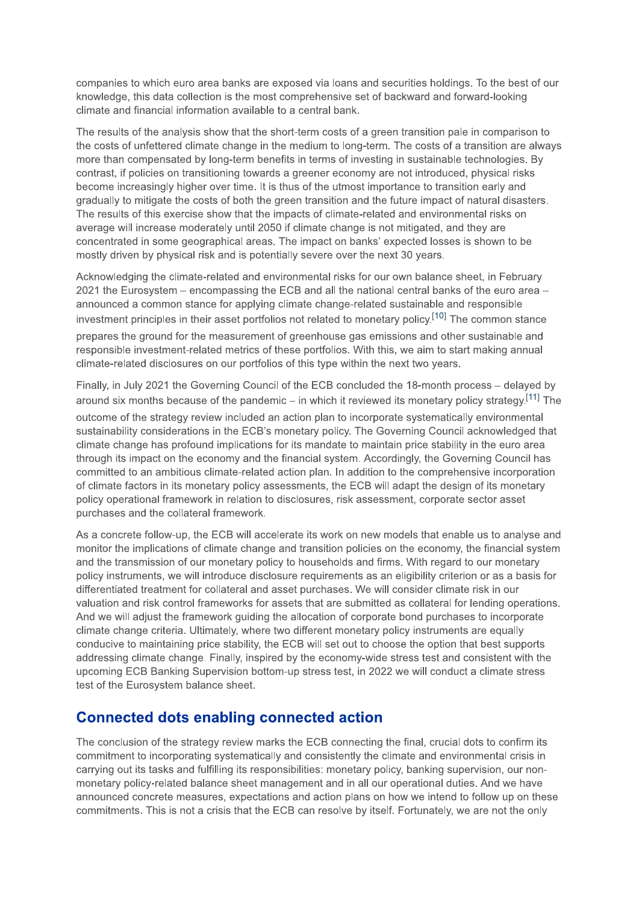companies to which euro area banks are exposed via loans and securities holdings. To the best of our knowledge, this data collection is the most comprehensive set of backward and forward-looking climate and financial information available to a central bank.

The results of the analysis show that the short-term costs of a green transition pale in comparison to the costs of unfettered climate change in the medium to long-term. The costs of a transition are always more than compensated by long-term benefits in terms of investing in sustainable technologies. By contrast, if policies on transitioning towards a greener economy are not introduced, physical risks become increasingly higher over time. It is thus of the utmost importance to transition early and gradually to mitigate the costs of both the green transition and the future impact of natural disasters. The results of this exercise show that the impacts of climate-related and environmental risks on average will increase moderately until 2050 if climate change is not mitigated, and they are concentrated in some geographical areas. The impact on banks' expected losses is shown to be mostly driven by physical risk and is potentially severe over the next 30 years.

Acknowledging the climate-related and environmental risks for our own balance sheet, in February 2021 the Eurosystem - encompassing the ECB and all the national central banks of the euro area announced a common stance for applying climate change-related sustainable and responsible investment principles in their asset portfolios not related to monetary policy.<sup>[10]</sup> The common stance prepares the ground for the measurement of greenhouse gas emissions and other sustainable and responsible investment-related metrics of these portfolios. With this, we aim to start making annual climate-related disclosures on our portfolios of this type within the next two years.

Finally, in July 2021 the Governing Council of the ECB concluded the 18-month process - delayed by around six months because of the pandemic – in which it reviewed its monetary policy strategy.<sup>[11]</sup> The outcome of the strategy review included an action plan to incorporate systematically environmental sustainability considerations in the ECB's monetary policy. The Governing Council acknowledged that climate change has profound implications for its mandate to maintain price stability in the euro area through its impact on the economy and the financial system. Accordingly, the Governing Council has committed to an ambitious climate-related action plan. In addition to the comprehensive incorporation of climate factors in its monetary policy assessments, the ECB will adapt the design of its monetary policy operational framework in relation to disclosures, risk assessment, corporate sector asset purchases and the collateral framework.

As a concrete follow-up, the ECB will accelerate its work on new models that enable us to analyse and monitor the implications of climate change and transition policies on the economy, the financial system and the transmission of our monetary policy to households and firms. With regard to our monetary policy instruments, we will introduce disclosure requirements as an eligibility criterion or as a basis for differentiated treatment for collateral and asset purchases. We will consider climate risk in our valuation and risk control frameworks for assets that are submitted as collateral for lending operations. And we will adjust the framework quiding the allocation of corporate bond purchases to incorporate climate change criteria. Ultimately, where two different monetary policy instruments are equally conducive to maintaining price stability, the ECB will set out to choose the option that best supports addressing climate change. Finally, inspired by the economy-wide stress test and consistent with the upcoming ECB Banking Supervision bottom-up stress test, in 2022 we will conduct a climate stress test of the Eurosystem balance sheet.

#### **Connected dots enabling connected action**

The conclusion of the strategy review marks the ECB connecting the final, crucial dots to confirm its commitment to incorporating systematically and consistently the climate and environmental crisis in carrying out its tasks and fulfilling its responsibilities: monetary policy, banking supervision, our nonmonetary policy-related balance sheet management and in all our operational duties. And we have announced concrete measures, expectations and action plans on how we intend to follow up on these commitments. This is not a crisis that the ECB can resolve by itself. Fortunately, we are not the only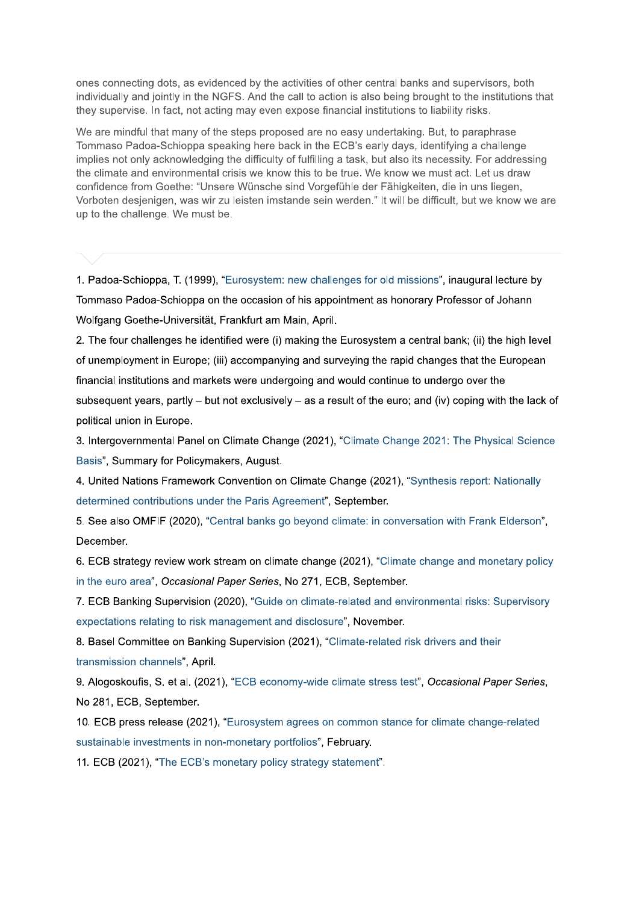ones connecting dots, as evidenced by the activities of other central banks and supervisors, both individually and jointly in the NGFS. And the call to action is also being brought to the institutions that they supervise. In fact, not acting may even expose financial institutions to liability risks.

We are mindful that many of the steps proposed are no easy undertaking. But, to paraphrase Tommaso Padoa-Schioppa speaking here back in the ECB's early days, identifying a challenge implies not only acknowledging the difficulty of fulfilling a task, but also its necessity. For addressing the climate and environmental crisis we know this to be true. We know we must act. Let us draw confidence from Goethe: "Unsere Wünsche sind Vorgefühle der Fähigkeiten, die in uns liegen, Vorboten desjenigen, was wir zu leisten imstande sein werden." It will be difficult, but we know we are up to the challenge. We must be.

1. Padoa-Schioppa, T. (1999), "Eurosystem: new challenges for old missions", inaugural lecture by Tommaso Padoa-Schioppa on the occasion of his appointment as honorary Professor of Johann Wolfgang Goethe-Universität, Frankfurt am Main, April.

2. The four challenges he identified were (i) making the Eurosystem a central bank; (ii) the high level of unemployment in Europe; (iii) accompanying and surveying the rapid changes that the European financial institutions and markets were undergoing and would continue to undergo over the subsequent years, partly  $-$  but not exclusively  $-$  as a result of the euro; and (iv) coping with the lack of political union in Europe.

3. Intergovernmental Panel on Climate Change (2021), "Climate Change 2021: The Physical Science Basis", Summary for Policymakers, August.

4. United Nations Framework Convention on Climate Change (2021), "Synthesis report: Nationally determined contributions under the Paris Agreement", September.

5. See also OMFIF (2020), "Central banks go beyond climate: in conversation with Frank Elderson", December.

6. ECB strategy review work stream on climate change (2021), "Climate change and monetary policy in the euro area", Occasional Paper Series, No 271, ECB, September.

7. ECB Banking Supervision (2020), "Guide on climate-related and environmental risks: Supervisory expectations relating to risk management and disclosure", November.

8. Basel Committee on Banking Supervision (2021), "Climate-related risk drivers and their transmission channels", April.

9. Alogoskoufis, S. et al. (2021), "ECB economy-wide climate stress test", Occasional Paper Series, No 281, ECB, September.

10. ECB press release (2021), "Eurosystem agrees on common stance for climate change-related sustainable investments in non-monetary portfolios", February.

11. ECB (2021), "The ECB's monetary policy strategy statement".